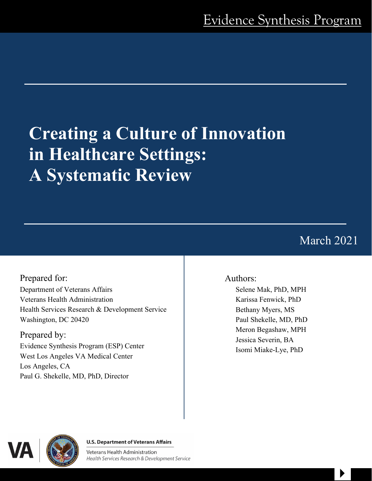# **Creating a Culture of Innovation in Healthcare Settings: A Systematic Review**

March 2021

 $\begin{array}{c} \hline \end{array}$ 

Prepared for: Department of Veterans Affairs Veterans Health Administration Health Services Research & Development Service Washington, DC 20420

Prepared by: Evidence Synthesis Program (ESP) Center West Los Angeles VA Medical Center Los Angeles, CA Paul G. Shekelle, MD, PhD, Director

# Authors:

Selene Mak, PhD, MPH Karissa Fenwick, PhD Bethany Myers, MS Paul Shekelle, MD, PhD Meron Begashaw, MPH Jessica Severin, BA Isomi Miake-Lye, PhD



#### **U.S. Department of Veterans Affairs**

Veterans Health Administration Health Serv[i](https://www.hsrd.research.va.gov/)ces Research & Development Service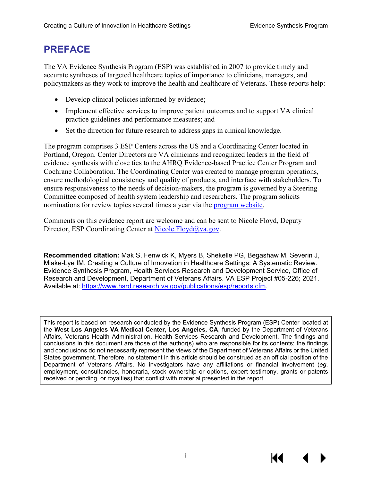# **PREFACE**

The VA Evidence Synthesis Program (ESP) was established in 2007 to provide timely and accurate syntheses of targeted healthcare topics of importance to clinicians, managers, and policymakers as they work to improve the health and healthcare of Veterans. These reports help:

- Develop clinical policies informed by evidence;
- Implement effective services to improve patient outcomes and to support VA clinical practice guidelines and performance measures; and
- Set the direction for future research to address gaps in clinical knowledge.

The program comprises 3 ESP Centers across the US and a Coordinating Center located in Portland, Oregon. Center Directors are VA clinicians and recognized leaders in the field of evidence synthesis with close ties to the AHRQ Evidence-based Practice Center Program and Cochrane Collaboration. The Coordinating Center was created to manage program operations, ensure methodological consistency and quality of products, and interface with stakeholders. To ensure responsiveness to the needs of decision-makers, the program is governed by a Steering Committee composed of health system leadership and researchers. The program solicits nominations for review topics several times a year via the [program website.](https://www.hsrd.research.va.gov/publications/esp/TopicNomination.cfm)

Comments on this evidence report are welcome and can be sent to Nicole Floyd, Deputy Director, ESP Coordinating Center at [Nicole.Floyd@va.gov.](mailto:Nicole.Floyd@va.gov)

**Recommended citation:** Mak S, Fenwick K, Myers B, Shekelle PG, Begashaw M, Severin J, Miake-Lye IM. Creating a Culture of Innovation in Healthcare Settings: A Systematic Review. Evidence Synthesis Program, Health Services Research and Development Service, Office of Research and Development, Department of Veterans Affairs. VA ESP Project #05-226; 2021. Available at: [https://www.hsrd.research.va.gov/publications/esp/reports.cfm.](https://www.hsrd.research.va.gov/publications/esp/reports.cfm)

This report is based on research conducted by the Evidence Synthesis Program (ESP) Center located at the **West Los Angeles VA Medical Center, Los Angeles, CA**, funded by the Department of Veterans Affairs, Veterans Health Administration, Health Services Research and Development. The findings and conclusions in this document are those of the author(s) who are responsible for its contents; the findings and conclusions do not necessarily represent the views of the Department of Veterans Affairs or the United States government. Therefore, no statement in this article should be construed as an official position of the Department of Veterans Affairs. No investigators have any affiliations or financial involvement (*eg*, employment, consultancies, honoraria, stock ownership or options, expert testimony, grants or patents received or pending, or royalties) that conflict with material presented in the report.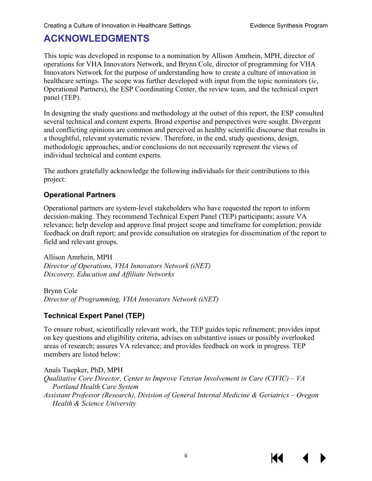# **ACKNOWLEDGMENTS**

This topic was developed in response to a nomination by Allison Amrhein, MPH, director of operations for VHA Innovators Network, and Brynn Cole, director of programming for VHA Innovators Network for the purpose of understanding how to create a culture of innovation in healthcare settings. The scope was further developed with input from the topic nominators (*ie*, Operational Partners), the ESP Coordinating Center, the review team, and the technical expert panel (TEP).

In designing the study questions and methodology at the outset of this report, the ESP consulted several technical and content experts. Broad expertise and perspectives were sought. Divergent and conflicting opinions are common and perceived as healthy scientific discourse that results in a thoughtful, relevant systematic review. Therefore, in the end, study questions, design, methodologic approaches, and/or conclusions do not necessarily represent the views of individual technical and content experts.

The authors gratefully acknowledge the following individuals for their contributions to this project:

#### **Operational Partners**

Operational partners are system-level stakeholders who have requested the report to inform decision-making. They recommend Technical Expert Panel (TEP) participants; assure VA relevance; help develop and approve final project scope and timeframe for completion; provide feedback on draft report; and provide consultation on strategies for dissemination of the report to field and relevant groups.

Allison Amrhein, MPH *Director of Operations, VHA Innovators Network (iNET) Discovery, Education and Affiliate Networks*

Brynn Cole *Director of Programming, VHA Innovators Network (iNET)*

## **Technical Expert Panel (TEP)**

To ensure robust, scientifically relevant work, the TEP guides topic refinement; provides input on key questions and eligibility criteria, advises on substantive issues or possibly overlooked areas of research; assures VA relevance; and provides feedback on work in progress. TEP members are listed below:

Anaïs Tuepker, PhD, MPH *Qualitative Core Director, Center to Improve Veteran Involvement in Care (CIVIC) – VA Portland Health Care System Assistant Professor (Research), Division of General Internal Medicine & Geriatrics – Oregon Health & Science University*

К€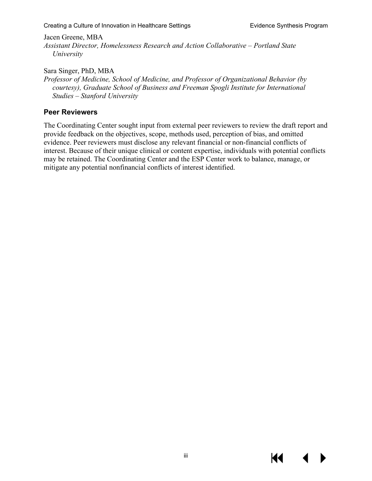Creating a Culture of Innovation in Healthcare Settings **Exity Research American** Evidence Synthesis Program

Jacen Greene, MBA

*Assistant Director, Homelessness Research and Action Collaborative – Portland State University*

Sara Singer, PhD, MBA

*Professor of Medicine, School of Medicine, and Professor of Organizational Behavior (by courtesy), Graduate School of Business and Freeman Spogli Institute for International Studies – Stanford University*

#### **Peer Reviewers**

The Coordinating Center sought input from external peer reviewers to review the draft report and provide feedback on the objectives, scope, methods used, perception of bias, and omitted evidence. Peer reviewers must disclose any relevant financial or non-financial conflicts of interest. Because of their unique clinical or content expertise, individuals with potential conflicts may be retained. The Coordinating Center and the ESP Center work to balance, manage, or mitigate any potential nonfinancial conflicts of interest identified.

К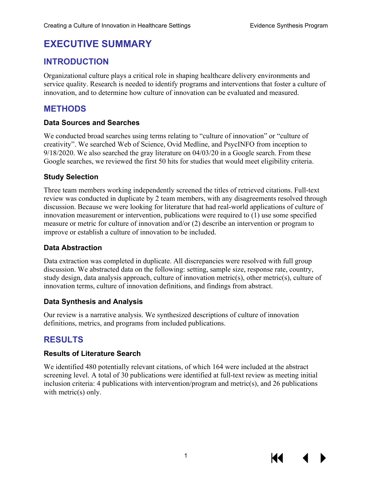# **EXECUTIVE SUMMARY**

## **INTRODUCTION**

Organizational culture plays a critical role in shaping healthcare delivery environments and service quality. Research is needed to identify programs and interventions that foster a culture of innovation, and to determine how culture of innovation can be evaluated and measured.

## **METHODS**

#### **Data Sources and Searches**

We conducted broad searches using terms relating to "culture of innovation" or "culture of creativity". We searched Web of Science, Ovid Medline, and PsycINFO from inception to 9/18/2020. We also searched the gray literature on 04/03/20 in a Google search. From these Google searches, we reviewed the first 50 hits for studies that would meet eligibility criteria.

#### **Study Selection**

Three team members working independently screened the titles of retrieved citations. Full-text review was conducted in duplicate by 2 team members, with any disagreements resolved through discussion. Because we were looking for literature that had real-world applications of culture of innovation measurement or intervention, publications were required to (1) use some specified measure or metric for culture of innovation and/or (2) describe an intervention or program to improve or establish a culture of innovation to be included.

#### **Data Abstraction**

Data extraction was completed in duplicate. All discrepancies were resolved with full group discussion. We abstracted data on the following: setting, sample size, response rate, country, study design, data analysis approach, culture of innovation metric(s), other metric(s), culture of innovation terms, culture of innovation definitions, and findings from abstract.

#### **Data Synthesis and Analysis**

Our review is a narrative analysis. We synthesized descriptions of culture of innovation definitions, metrics, and programs from included publications.

# **RESULTS**

#### **Results of Literature Search**

We identified 480 potentially relevant citations, of which 164 were included at the abstract screening level. A total of 30 publications were identified at full-text review as meeting initial inclusion criteria: 4 publications with intervention/program and metric(s), and 26 publications with metric(s) only.

К€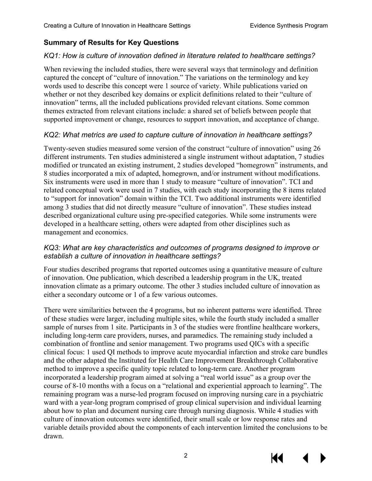## **Summary of Results for Key Questions**

#### *KQ1: How is culture of innovation defined in literature related to healthcare settings?*

When reviewing the included studies, there were several ways that terminology and definition captured the concept of "culture of innovation." The variations on the terminology and key words used to describe this concept were 1 source of variety. While publications varied on whether or not they described key domains or explicit definitions related to their "culture of innovation" terms, all the included publications provided relevant citations. Some common themes extracted from relevant citations include: a shared set of beliefs between people that supported improvement or change, resources to support innovation, and acceptance of change.

#### *KQ2: What metrics are used to capture culture of innovation in healthcare settings?*

Twenty-seven studies measured some version of the construct "culture of innovation" using 26 different instruments. Ten studies administered a single instrument without adaptation, 7 studies modified or truncated an existing instrument, 2 studies developed "homegrown" instruments, and 8 studies incorporated a mix of adapted, homegrown, and/or instrument without modifications. Six instruments were used in more than 1 study to measure "culture of innovation". TCI and related conceptual work were used in 7 studies, with each study incorporating the 8 items related to "support for innovation" domain within the TCI. Two additional instruments were identified among 3 studies that did not directly measure "culture of innovation". These studies instead described organizational culture using pre-specified categories. While some instruments were developed in a healthcare setting, others were adapted from other disciplines such as management and economics.

#### *KQ3: What are key characteristics and outcomes of programs designed to improve or establish a culture of innovation in healthcare settings?*

Four studies described programs that reported outcomes using a quantitative measure of culture of innovation. One publication, which described a leadership program in the UK, treated innovation climate as a primary outcome. The other 3 studies included culture of innovation as either a secondary outcome or 1 of a few various outcomes.

There were similarities between the 4 programs, but no inherent patterns were identified. Three of these studies were larger, including multiple sites, while the fourth study included a smaller sample of nurses from 1 site. Participants in 3 of the studies were frontline healthcare workers, including long-term care providers, nurses, and paramedics. The remaining study included a combination of frontline and senior management. Two programs used QICs with a specific clinical focus: 1 used QI methods to improve acute myocardial infarction and stroke care bundles and the other adapted the Instituted for Health Care Improvement Breakthrough Collaborative method to improve a specific quality topic related to long-term care. Another program incorporated a leadership program aimed at solving a "real world issue" as a group over the course of 8-10 months with a focus on a "relational and experiential approach to learning". The remaining program was a nurse-led program focused on improving nursing care in a psychiatric ward with a year-long program comprised of group clinical supervision and individual learning about how to plan and document nursing care through nursing diagnosis. While 4 studies with culture of innovation outcomes were identified, their small scale or low response rates and variable details provided about the components of each intervention limited the conclusions to be drawn.



2